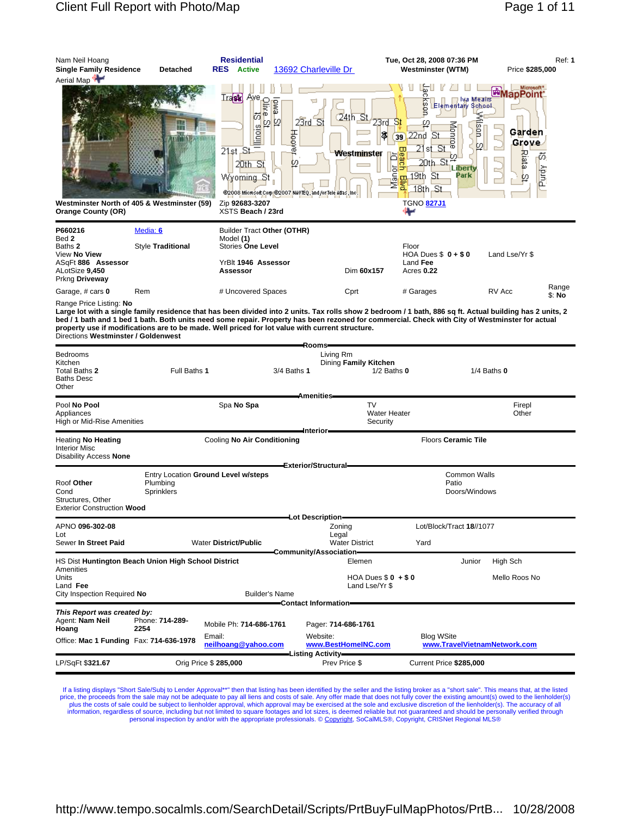\$: **No**

| Nam Neil Hoang<br><b>Single Family Residence</b><br>Aerial Map                                        | <b>Detached</b>                             | <b>Residential</b><br><b>RES</b> Active                                                                | 13692 Charleville Dr                                                                                                                                        | Tue, Oct 28, 2008 07:36 PM<br>Westminster (WTM)                                                                                                                                                                                                                                                                                                                                                                                                                                                                                        | Ref: 1<br>Price \$285,000                                   |
|-------------------------------------------------------------------------------------------------------|---------------------------------------------|--------------------------------------------------------------------------------------------------------|-------------------------------------------------------------------------------------------------------------------------------------------------------------|----------------------------------------------------------------------------------------------------------------------------------------------------------------------------------------------------------------------------------------------------------------------------------------------------------------------------------------------------------------------------------------------------------------------------------------------------------------------------------------------------------------------------------------|-------------------------------------------------------------|
|                                                                                                       | m                                           | <b>Track</b> Avere P<br>$\sigma$<br>岇<br>Strong<br>Strong<br>$21st$ , St<br>20th St<br>Wyoming St      | ewo<br>$24th$ St<br>$23rd$ St<br>$\boldsymbol{\varphi}$<br>$rac{4}{100}$<br>Westminster<br>Q<br>@2008 Microsoft Corp @2007 NAVTEQ, and for Tele Atlas, Inc. | lya Meairs<br>g<br><b>Elementary School</b><br>23rd<br>St<br>Monrae<br>gan<br>IŞ.<br>22nd St<br>39)<br>$\mathfrak{p}$<br><u> 21st St</u><br>ω<br>민호<br>m<br>$20th$ St.<br>Liberty<br>ы<br>ē<br>$\frac{1}{2}$ $\frac{1}{2}$ $\frac{1}{2}$ $\frac{1}{2}$ $\frac{1}{2}$ $\frac{1}{2}$ $\frac{1}{2}$ $\frac{1}{2}$ $\frac{1}{2}$ $\frac{1}{2}$ $\frac{1}{2}$ $\frac{1}{2}$ $\frac{1}{2}$ $\frac{1}{2}$ $\frac{1}{2}$ $\frac{1}{2}$ $\frac{1}{2}$ $\frac{1}{2}$ $\frac{1}{2}$ $\frac{1}{2}$ $\frac{1}{2}$ $\frac{1}{2}$<br>Park<br>18th, St | <b>EMapPoint</b><br>Garden<br>Grove<br>Biata<br>Ø,<br>Purdy |
| <b>Orange County (OR)</b>                                                                             | Westminster North of 405 & Westminster (59) | Zip 92683-3207<br>XSTS Beach / 23rd                                                                    |                                                                                                                                                             | <b>TGNO 827J1</b>                                                                                                                                                                                                                                                                                                                                                                                                                                                                                                                      |                                                             |
| P660216<br>Bed 2<br>Baths 2<br>View No View<br>ASqFt 886 Assessor<br>ALotSize 9,450<br>Prkng Driveway | Media: 6<br>Style Traditional               | Builder Tract Other (OTHR)<br>Model (1)<br><b>Stories One Level</b><br>YrBlt 1946 Assessor<br>Assessor | Dim 60x157                                                                                                                                                  | Floor<br>HOA Dues $$0 + $0$<br>Land Fee<br>Acres 0.22                                                                                                                                                                                                                                                                                                                                                                                                                                                                                  | Land Lse/Yr \$                                              |

Garage, # cars 0 **Range** Rem **Accord # Uncovered Spaces** Cprt # Garages RV Acc Range

Range Price Listing: **No**

Large lot with a single family residence that has been divided into 2 units. Tax rolls show 2 bedroom / 1 bath, 886 sq ft. Actual building has 2 units, 2 **bed / 1 bath and 1 bed 1 bath. Both units need some repair. Property has been rezoned for commercial. Check with City of Westminster for actual property use if modifications are to be made. Well priced for lot value with current structure.** Directions **Westminster / Goldenwest**

|                                                                              |                                                                                                                |                               |             | Rooms-                                                   |                     |                                                   |                 |
|------------------------------------------------------------------------------|----------------------------------------------------------------------------------------------------------------|-------------------------------|-------------|----------------------------------------------------------|---------------------|---------------------------------------------------|-----------------|
| <b>Bedrooms</b><br>Kitchen<br>Total Baths 2<br><b>Baths Desc</b><br>Other    | Full Baths 1                                                                                                   |                               | 3/4 Baths 1 | Living Rm<br>Dining Family Kitchen                       | $1/2$ Baths $0$     |                                                   | $1/4$ Baths $0$ |
|                                                                              |                                                                                                                |                               |             | <b>Amenities</b>                                         |                     |                                                   |                 |
| Pool No Pool<br>Appliances<br>High or Mid-Rise Amenities                     |                                                                                                                | Spa No Spa                    |             | <b>TV</b><br>Security<br>Interior-                       | <b>Water Heater</b> |                                                   | Firepl<br>Other |
| <b>Heating No Heating</b><br><b>Interior Misc</b><br>Disability Access None  |                                                                                                                | Cooling No Air Conditioning   |             | Exterior/Structural=                                     |                     | Floors Ceramic Tile                               |                 |
| Roof Other<br>Cond<br>Structures, Other<br><b>Exterior Construction Wood</b> | <b>Common Walls</b><br>Entry Location Ground Level w/steps<br>Plumbing<br>Patio<br>Doors/Windows<br>Sprinklers |                               |             |                                                          |                     |                                                   |                 |
|                                                                              |                                                                                                                |                               |             | -Lot Description-                                        |                     |                                                   |                 |
| APNO 096-302-08                                                              |                                                                                                                |                               |             | Zoning                                                   |                     | Lot/Block/Tract 18//1077                          |                 |
| Lot<br>Sewer In Street Paid                                                  |                                                                                                                | <b>Water District/Public</b>  |             | Legal<br><b>Water District</b><br>Community/Association- |                     | Yard                                              |                 |
| HS Dist Huntington Beach Union High School District<br>Amenities             |                                                                                                                |                               |             | Elemen                                                   |                     | Junior                                            | High Sch        |
| Units<br>Land Fee<br>City Inspection Required No                             |                                                                                                                | <b>Builder's Name</b>         |             | HOA Dues $$0 + $0$<br>Mello Roos No<br>Land Lse/Yr \$    |                     |                                                   |                 |
|                                                                              |                                                                                                                |                               |             | Contact Information-                                     |                     |                                                   |                 |
| This Report was created by:<br>Agent: Nam Neil<br>Hoang                      | Phone: 714-289-<br>2254                                                                                        | Mobile Ph: 714-686-1761       |             | Pager: 714-686-1761                                      |                     |                                                   |                 |
| Office: Mac 1 Funding Fax: 714-636-1978                                      |                                                                                                                | Email:<br>neilhoang@vahoo.com |             | Website:<br>www.BestHomeINC.com<br>-Listing Activity-    |                     | <b>Blog WSite</b><br>www.TravelVietnamNetwork.com |                 |
| LP/SqFt \$321.67                                                             | Orig Price \$ 285,000                                                                                          |                               |             | Prev Price \$<br>Current Price \$285,000                 |                     |                                                   |                 |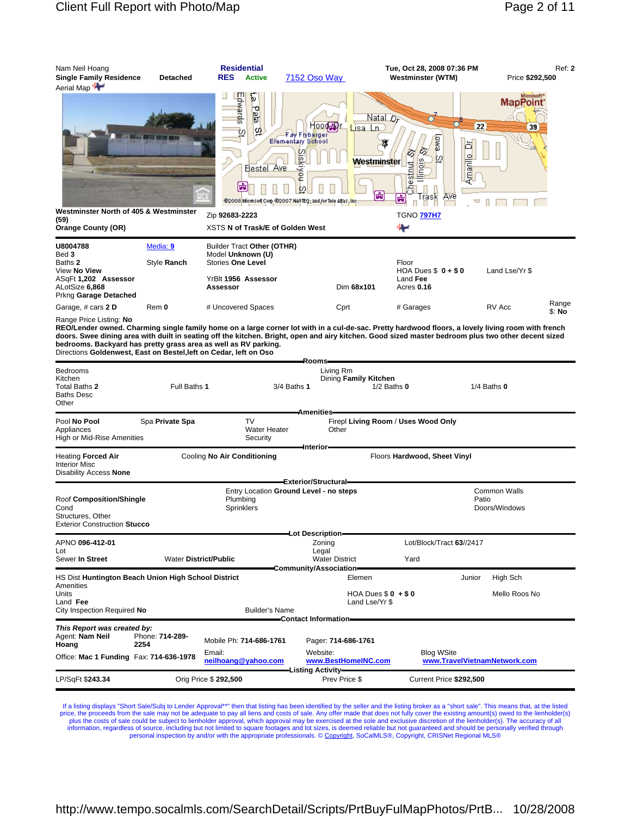

Range Price Listing: **No**

**REO/Lender owned. Charming single family home on a large corner lot with in a cul-de-sac. Pretty hardwood floors, a lovely living room with french doors. Swee dining area with duilt in seating off the kitchen. Bright, open and airy kitchen. Good sized master bedroom plus two other decent sized bedrooms. Backyard has pretty grass area as well as RV parking.** Directions **Goldenwest, East on Bestel,left on Cedar, left on Oso**

|                                                                                                                                                                  |                              |                                              | Rooms-                                                   |                                                                      |                                                   |        |                                      |  |
|------------------------------------------------------------------------------------------------------------------------------------------------------------------|------------------------------|----------------------------------------------|----------------------------------------------------------|----------------------------------------------------------------------|---------------------------------------------------|--------|--------------------------------------|--|
| <b>Bedrooms</b><br>Kitchen<br>Total Baths 2<br><b>Baths Desc</b><br>Other                                                                                        |                              | Full Baths 1                                 |                                                          | Living Rm<br>Dining Family Kitchen<br>3/4 Baths 1<br>$1/2$ Baths $0$ |                                                   |        | $1/4$ Baths $0$                      |  |
|                                                                                                                                                                  |                              |                                              | <b>Amenities</b>                                         |                                                                      |                                                   |        |                                      |  |
| Pool No Pool<br>Appliances<br>High or Mid-Rise Amenities                                                                                                         | Spa Private Spa              | <b>TV</b><br><b>Water Heater</b><br>Security | Other                                                    | Firepl Living Room / Uses Wood Only                                  |                                                   |        |                                      |  |
|                                                                                                                                                                  |                              |                                              | Interior-                                                |                                                                      |                                                   |        |                                      |  |
| Heating Forced Air<br><b>Interior Misc</b><br>Disability Access None                                                                                             |                              | Cooling No Air Conditioning                  |                                                          |                                                                      | Floors Hardwood, Sheet Vinyl                      |        |                                      |  |
|                                                                                                                                                                  |                              |                                              | Exterior/Structural-                                     |                                                                      |                                                   |        |                                      |  |
| Entry Location Ground Level - no steps<br>Roof Composition/Shingle<br>Plumbing<br>Cond<br>Sprinklers<br>Structures, Other<br><b>Exterior Construction Stucco</b> |                              |                                              |                                                          |                                                                      |                                                   | Patio  | <b>Common Walls</b><br>Doors/Windows |  |
|                                                                                                                                                                  |                              |                                              | -Lot Description-                                        |                                                                      |                                                   |        |                                      |  |
| APNO 096-412-01                                                                                                                                                  |                              |                                              | Lot/Block/Tract 63//2417<br>Zoning                       |                                                                      |                                                   |        |                                      |  |
| Lot<br>Sewer In Street                                                                                                                                           | <b>Water District/Public</b> |                                              | Legal<br><b>Water District</b><br>Community/Association= |                                                                      | Yard                                              |        |                                      |  |
| HS Dist Huntington Beach Union High School District<br>Amenities                                                                                                 |                              |                                              |                                                          | Elemen                                                               |                                                   | Junior | High Sch                             |  |
| Units<br>Land Fee<br>City Inspection Required No                                                                                                                 |                              | <b>Builder's Name</b>                        |                                                          | HOA Dues $$0 + $0$<br>Land Lse/Yr \$                                 |                                                   |        | Mello Roos No                        |  |
|                                                                                                                                                                  |                              |                                              | -Contact Information-                                    |                                                                      |                                                   |        |                                      |  |
| This Report was created by:<br>Agent: Nam Neil<br>Hoang                                                                                                          | Phone: 714-289-<br>2254      | Mobile Ph: 714-686-1761                      | Pager: 714-686-1761                                      |                                                                      |                                                   |        |                                      |  |
| Office: Mac 1 Funding Fax: 714-636-1978                                                                                                                          |                              | Email:<br>neilhoang@yahoo.com                | Website:<br>www.BestHomeINC.com<br>-Listing Activity-    |                                                                      | <b>Blog WSite</b><br>www.TravelVietnamNetwork.com |        |                                      |  |
| LP/SqFt \$243.34                                                                                                                                                 | Orig Price \$ 292,500        |                                              |                                                          | Prev Price \$<br>Current Price \$292,500                             |                                                   |        |                                      |  |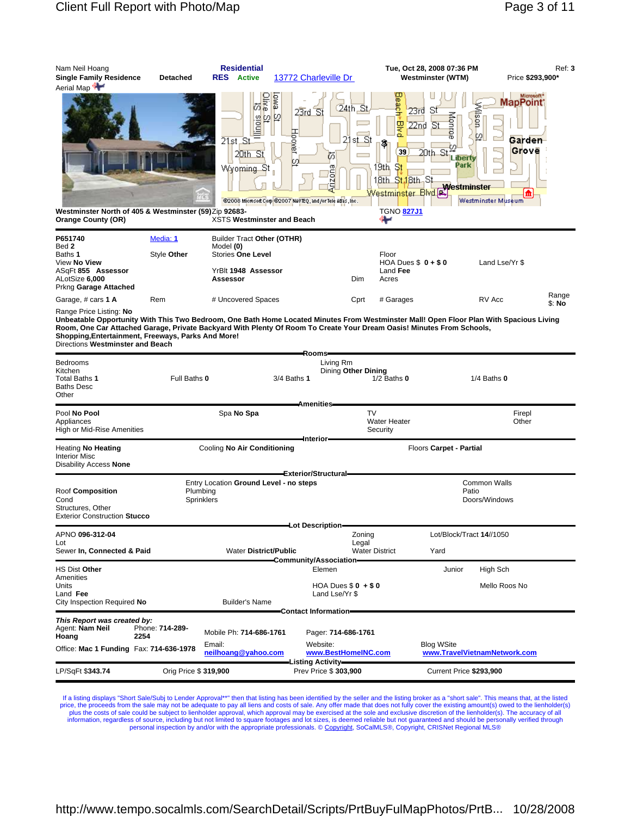| Nam Neil Hoang<br><b>Single Family Residence</b><br>Aerial Map <sup>4</sup>                                                                                                                                                                                                                                                                                                                                                                          | Detached               | <b>Residential</b><br><b>RES</b> Active                                             | 13772 Charleville Dr                                                                                                 |                                                                                                                                          | Tue, Oct 28, 2008 07:36 PM<br><b>Westminster (WTM)</b>                                                      | Price \$293,900*                                                                                | Ref: 3          |
|------------------------------------------------------------------------------------------------------------------------------------------------------------------------------------------------------------------------------------------------------------------------------------------------------------------------------------------------------------------------------------------------------------------------------------------------------|------------------------|-------------------------------------------------------------------------------------|----------------------------------------------------------------------------------------------------------------------|------------------------------------------------------------------------------------------------------------------------------------------|-------------------------------------------------------------------------------------------------------------|-------------------------------------------------------------------------------------------------|-----------------|
| Westminster North of 405 & Westminster (59)Zip 92683-<br><b>Orange County (OR)</b>                                                                                                                                                                                                                                                                                                                                                                   |                        | 요.<br>연합<br>$21st$ St<br>20th St<br>Wyoming St<br><b>XSTS Westminster and Beach</b> | ewo<br>$23rd$ St<br><b>Hoover</b><br>ŰΟ<br>œ<br>Anzon<br>@2008 Microsoft Corp @2007 NAVTEQ, and /or Tele Atlas, Inc. | leach<br>24th St<br>모<br>이후<br>21<br>st St<br>গ<br>39<br>19th, St<br>18th S <mark>t.1</mark> 8th St<br>Westminster Blvd.[≇<br>TGNO 827J1 | -St<br>23rd<br>Monroe<br>$\overline{\mathbf{S}}$ t<br>22nd<br>tΩ<br>20th.<br>Liberty<br>Park<br>Westminster | Microsoft*<br>MapPoint <sup>*</sup><br>Mison<br>図<br>Garden<br>Grove<br>m<br>Westminster Museum |                 |
| P651740                                                                                                                                                                                                                                                                                                                                                                                                                                              | Media: 1               | Builder Tract Other (OTHR)                                                          |                                                                                                                      |                                                                                                                                          |                                                                                                             |                                                                                                 |                 |
| Bed 2<br>Baths <b>1</b>                                                                                                                                                                                                                                                                                                                                                                                                                              | Style Other            | Model (0)<br><b>Stories One Level</b>                                               |                                                                                                                      | Floor                                                                                                                                    |                                                                                                             |                                                                                                 |                 |
| View No View<br>ASaFt 855 Assessor<br>ALotSize 6,000<br>Prkng Garage Attached                                                                                                                                                                                                                                                                                                                                                                        |                        | YrBlt 1948 Assessor<br>Assessor                                                     |                                                                                                                      | HOA Dues $$0 + $0$<br>Land Fee<br>Dim<br>Acres                                                                                           |                                                                                                             | Land Lse/Yr \$                                                                                  |                 |
| Garage, # cars 1 A                                                                                                                                                                                                                                                                                                                                                                                                                                   | Rem                    | # Uncovered Spaces                                                                  |                                                                                                                      | # Garages<br>Cprt                                                                                                                        |                                                                                                             | RV Acc                                                                                          | Range<br>\$: No |
| Range Price Listing: No<br>Unbeatable Opportunity With This Two Bedroom, One Bath Home Located Minutes From Westminster Mall! Open Floor Plan With Spacious Living<br>Room, One Car Attached Garage, Private Backyard With Plenty Of Room To Create Your Dream Oasis! Minutes From Schools,<br>Shopping, Entertainment, Freeways, Parks And More!<br>Directions Westminster and Beach<br>Bedrooms<br>Kitchen<br>Total Baths 1<br>Baths Desc<br>Other | Full Baths 0           |                                                                                     | -Rooms-<br>Living Rm<br>3/4 Baths 1                                                                                  | Dining Other Dining<br>$1/2$ Baths $0$                                                                                                   |                                                                                                             | $1/4$ Baths $0$                                                                                 |                 |
| Pool No Pool<br>Appliances<br>High or Mid-Rise Amenities                                                                                                                                                                                                                                                                                                                                                                                             |                        | Spa No Spa                                                                          | Amenities                                                                                                            | TV<br><b>Water Heater</b><br>Security                                                                                                    |                                                                                                             | Firepl<br>Other                                                                                 |                 |
| Heating No Heating                                                                                                                                                                                                                                                                                                                                                                                                                                   |                        | Cooling No Air Conditioning                                                         | –Interior–                                                                                                           |                                                                                                                                          | Floors Carpet - Partial                                                                                     |                                                                                                 |                 |
| <b>Interior Misc</b><br>Disability Access None                                                                                                                                                                                                                                                                                                                                                                                                       |                        |                                                                                     |                                                                                                                      |                                                                                                                                          |                                                                                                             |                                                                                                 |                 |
| Roof <b>Composition</b><br>Cond<br>Structures, Other<br><b>Exterior Construction Stucco</b>                                                                                                                                                                                                                                                                                                                                                          | Plumbing<br>Sprinklers | Entry Location Ground Level - no steps                                              | Exterior/Structural=                                                                                                 |                                                                                                                                          | Patio                                                                                                       | <b>Common Walls</b><br>Doors/Windows                                                            |                 |
| APNO 096-312-04                                                                                                                                                                                                                                                                                                                                                                                                                                      |                        |                                                                                     | Lot Description=                                                                                                     | Zoning                                                                                                                                   | Lot/Block/Tract 14//1050                                                                                    |                                                                                                 |                 |
| Lot<br>Sewer In, Connected & Paid                                                                                                                                                                                                                                                                                                                                                                                                                    |                        | <b>Water District/Public</b>                                                        |                                                                                                                      | Legal<br><b>Water District</b>                                                                                                           | Yard                                                                                                        |                                                                                                 |                 |
| HS Dist Other                                                                                                                                                                                                                                                                                                                                                                                                                                        |                        |                                                                                     | Community/Association=<br>Elemen                                                                                     |                                                                                                                                          | Junior                                                                                                      | High Sch                                                                                        |                 |
| Amenities<br>Units<br>Land Fee<br>City Inspection Required No                                                                                                                                                                                                                                                                                                                                                                                        |                        | <b>Builder's Name</b>                                                               | Land Lse/Yr \$                                                                                                       | HOA Dues $$0 + $0$                                                                                                                       |                                                                                                             | Mello Roos No                                                                                   |                 |
| This Report was created by:<br>Agent: <b>Nam Neil</b>                                                                                                                                                                                                                                                                                                                                                                                                | Phone: 714-289-        | Mobile Ph: 714-686-1761                                                             | Contact Information-<br>Pager: 714-686-1761                                                                          |                                                                                                                                          |                                                                                                             |                                                                                                 |                 |
| Hoang<br>Office: Mac 1 Funding Fax: 714-636-1978                                                                                                                                                                                                                                                                                                                                                                                                     | 2254                   | Email:<br>neilhoang@yahoo.com                                                       | Website:                                                                                                             | www.BestHomeINC.com                                                                                                                      | <b>Blog WSite</b>                                                                                           | www.TravelVietnamNetwork.com                                                                    |                 |
| LP/SqFt \$343.74                                                                                                                                                                                                                                                                                                                                                                                                                                     | Orig Price \$ 319,900  |                                                                                     | Listing Activity-<br>Prev Price \$ 303,900                                                                           |                                                                                                                                          | Current Price \$293,900                                                                                     |                                                                                                 |                 |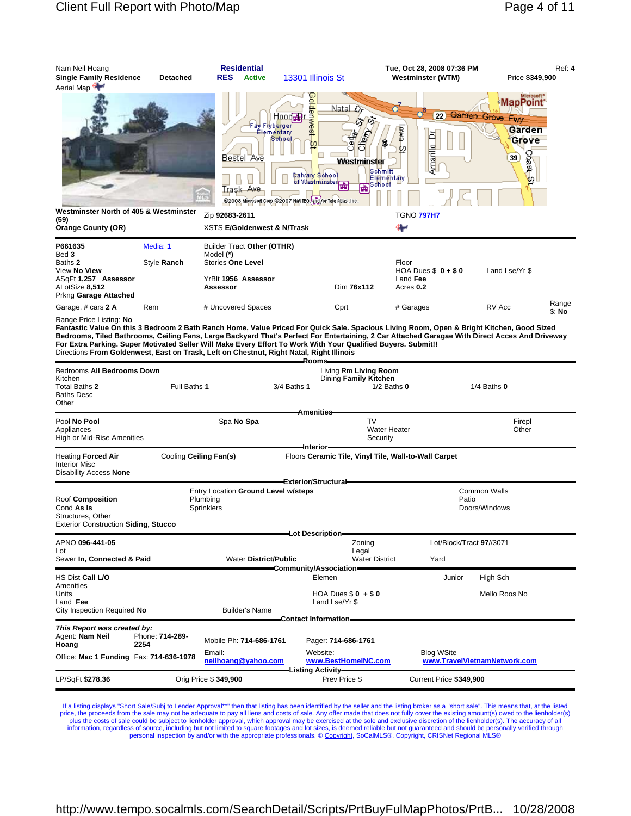| Nam Neil Hoang<br><b>Single Family Residence</b><br>Aerial Map                                                 | <b>Detached</b>         | <b>Residential</b><br><b>RES</b><br><b>Active</b>                                                      | 13301 Illinois St                                                                                                                                                                                                                                                        | Tue, Oct 28, 2008 07:36 PM<br>Westminster (WTM)                                      | Ref: 4<br>Price \$349,900                                                                                                             |
|----------------------------------------------------------------------------------------------------------------|-------------------------|--------------------------------------------------------------------------------------------------------|--------------------------------------------------------------------------------------------------------------------------------------------------------------------------------------------------------------------------------------------------------------------------|--------------------------------------------------------------------------------------|---------------------------------------------------------------------------------------------------------------------------------------|
| Westminster North of 405 & Westminster<br>(59)                                                                 |                         | Bestel Ave<br>Trask Ave<br>Zip 92683-2611                                                              | Golde<br>Natal Dr<br>Hood pr<br><b><i><u><b>TWest</b></u></i></b><br>Fay Flyberger<br>Elementary<br>愛<br>Cherry<br>School<br>ρ<br><b>Westminster</b><br>Calvany School<br>of Westminster<br><b>Property</b><br>S2008 Microsoft Corp S2007 NAVTEQ and for Tele Adas, Inc. | 22)<br>ewe<br>ă<br>ß.<br>Amarillo<br>w<br>Schmitt<br>Elementary<br><b>TGNO 797H7</b> | Microsoft <sup>*</sup><br><b>MapPoint</b><br>Garden Grove Fwy<br>Garden<br>Grove<br>$\left[ 39\right]$<br>vast.<br>ا م <mark>ا</mark> |
| <b>Orange County (OR)</b>                                                                                      |                         | <b>XSTS E/Goldenwest &amp; N/Trask</b>                                                                 |                                                                                                                                                                                                                                                                          |                                                                                      |                                                                                                                                       |
| P661635<br>Bed 3<br>Baths 2<br>View No View<br>ASqFt 1,257 Assessor<br>ALotSize 8,512<br>Prkng Garage Attached | Media: 1<br>Style Ranch | Builder Tract Other (OTHR)<br>Model (*)<br><b>Stories One Level</b><br>YrBlt 1956 Assessor<br>Assessor | Dim 76x112                                                                                                                                                                                                                                                               | Floor<br>HOA Dues $$0 + $0$<br>Land Fee<br>Acres 0.2                                 | Land Lse/Yr \$                                                                                                                        |
| Garage, # cars 2 A                                                                                             | Rem                     | # Uncovered Spaces                                                                                     | Cprt                                                                                                                                                                                                                                                                     | # Garages                                                                            | Range<br>RV Acc                                                                                                                       |
| Range Price Listing: No                                                                                        |                         |                                                                                                        |                                                                                                                                                                                                                                                                          |                                                                                      | \$: No                                                                                                                                |

Range Price Listing: No<br>Fantastic Value On this 3 Bedroom 2 Bath Ranch Home, Value Priced For Quick Sale. Spacious Living Room, Open & Bright Kitchen, Good Sized<br>Bedrooms, Tiled Bathrooms, Ceiling Fans, Large Backyard That Directions **From Goldenwest, East on Trask, Left on Chestnut, Right Natal, Right Illinois**

|                                                                                                                                                                     |                         |                               | Rooms-                       |                                                                   |                                  |                              |
|---------------------------------------------------------------------------------------------------------------------------------------------------------------------|-------------------------|-------------------------------|------------------------------|-------------------------------------------------------------------|----------------------------------|------------------------------|
| Bedrooms All Bedrooms Down<br>Kitchen<br>Total Baths 2<br><b>Baths Desc</b><br>Other                                                                                | Full Baths 1            |                               | 3/4 Baths 1                  | Living Rm Living Room<br>Dining Family Kitchen<br>$1/2$ Baths $0$ |                                  | $1/4$ Baths $0$              |
|                                                                                                                                                                     |                         |                               | <b>Amenities</b>             |                                                                   |                                  |                              |
| Pool No Pool<br>Appliances<br>High or Mid-Rise Amenities                                                                                                            |                         | Spa No Spa                    |                              | <b>TV</b><br><b>Water Heater</b><br>Security                      |                                  | Firepl<br>Other              |
|                                                                                                                                                                     |                         |                               | Interior-                    |                                                                   |                                  |                              |
| <b>Heating Forced Air</b><br><b>Interior Misc</b><br>Disability Access None                                                                                         | Cooling Ceiling Fan(s)  |                               |                              | Floors Ceramic Tile, Vinyl Tile, Wall-to-Wall Carpet              |                                  |                              |
|                                                                                                                                                                     |                         |                               | Exterior/Structural-         |                                                                   |                                  |                              |
| Entry Location Ground Level w/steps<br>Roof Composition<br>Plumbing<br>Cond As Is<br>Sprinklers<br>Structures, Other<br><b>Exterior Construction Siding, Stucco</b> |                         |                               |                              | <b>Common Walls</b><br>Patio<br>Doors/Windows                     |                                  |                              |
|                                                                                                                                                                     |                         |                               | <del>-</del> Lot Description |                                                                   |                                  |                              |
| APNO 096-441-05<br>Lot<br>Sewer In, Connected & Paid                                                                                                                |                         | <b>Water District/Public</b>  |                              | Zonina<br>Legal<br><b>Water District</b>                          | Lot/Block/Tract 97//3071<br>Yard |                              |
|                                                                                                                                                                     |                         |                               | Community/Association=       |                                                                   |                                  |                              |
| HS Dist Call L/O<br>Amenities<br>Units<br>Land Fee<br>City Inspection Required No                                                                                   |                         | <b>Builder's Name</b>         | Elemen                       | HOA Dues $$0 + $0$<br>Land Lse/Yr \$                              | Junior                           | High Sch<br>Mello Roos No    |
|                                                                                                                                                                     |                         |                               | Contact Information=         |                                                                   |                                  |                              |
| This Report was created by:<br>Agent: Nam Neil<br>Hoang                                                                                                             | Phone: 714-289-<br>2254 | Mobile Ph: 714-686-1761       | Website:                     | Pager: 714-686-1761                                               |                                  |                              |
| Office: Mac 1 Funding Fax: 714-636-1978                                                                                                                             |                         | Email:<br>neilhoang@yahoo.com | <b>Listing Activity</b>      | www.BestHomeINC.com                                               | <b>Blog WSite</b>                | www.TravelVietnamNetwork.com |
| LP/SqFt \$278.36                                                                                                                                                    |                         | Orig Price \$ 349,900         |                              | Prev Price \$                                                     | Current Price \$349,900          |                              |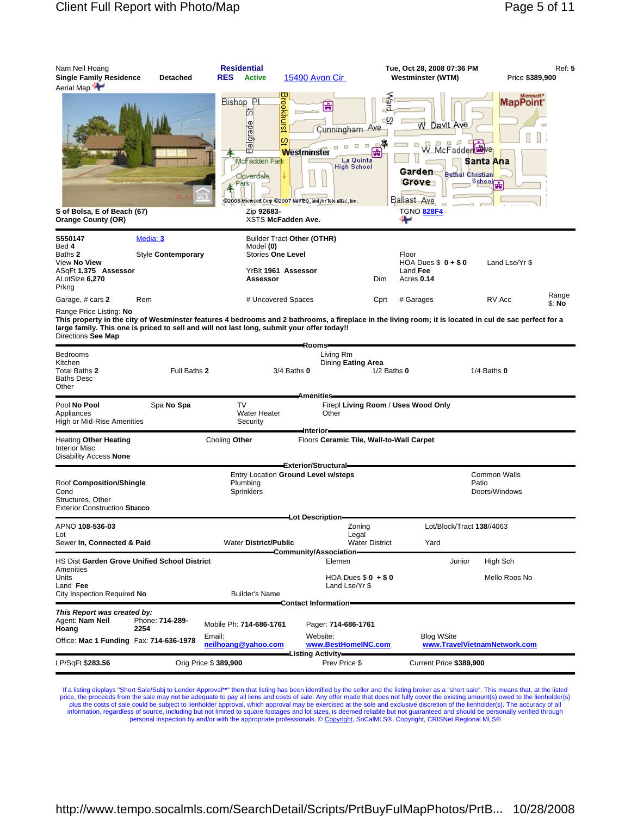| Nam Neil Hoang<br><b>Single Family Residence</b><br>Aerial Map | <b>Detached</b>                                                                            | <b>Residential</b><br><b>RES</b><br><b>Active</b>                                                                                                                                                                                                                                                                                    | 15490 Avon Cir                                                                                                                                          |       | Tue, Oct 28, 2008 07:36 PM<br>Westminster (WTM)                                                                                                                                                        | Ref: 5<br>Price \$389,900 |  |  |
|----------------------------------------------------------------|--------------------------------------------------------------------------------------------|--------------------------------------------------------------------------------------------------------------------------------------------------------------------------------------------------------------------------------------------------------------------------------------------------------------------------------------|---------------------------------------------------------------------------------------------------------------------------------------------------------|-------|--------------------------------------------------------------------------------------------------------------------------------------------------------------------------------------------------------|---------------------------|--|--|
| S of Bolsa, E of Beach (67)<br><b>Orange County (OR)</b>       |                                                                                            | Brookhurs<br>Bishop Pl<br>喦<br>Ŭ0<br>elgrade<br>Cunningham Ave<br>U.<br>-3<br>$\Box$<br>$\Box$<br>m<br>좊<br><b>Westminster</b><br>La Quinta<br>McFadden Par <mark>k</mark><br><b>High School</b><br>Cloverdale.<br>$\sqrt{P}$ ark<br>@2008 Microsoft Corp @2007 NAVTEQ, and /or Tele Atlas, Inc.<br>Zip 92683-<br>XSTS McFadden Ave. |                                                                                                                                                         |       | శ్<br>Microsoft <sup>*</sup><br><b>MapPoint</b><br>⊈⊻<br><u>Davit Ave</u><br>w<br>W. McFadder<br>Santa Ana<br>Garden<br><b>Bethel Christian</b><br>Sphool<br>Grove<br>Ballast Ave<br><b>TGNO 828F4</b> |                           |  |  |
| S550147<br>Bed 4<br>Baths 2<br>View No View                    | Media: 3<br>Style Contemporary                                                             | Model (0)                                                                                                                                                                                                                                                                                                                            | <b>Builder Tract Other (OTHR)</b><br>Stories One Level                                                                                                  | Floor | HOA Dues $$0 + $0$                                                                                                                                                                                     | Land Lse/Yr \$            |  |  |
| ASqFt 1,375 Assessor<br>ALotSize 6,270<br>Prkng                |                                                                                            | Assessor                                                                                                                                                                                                                                                                                                                             | YrBlt 1961 Assessor                                                                                                                                     | Dim   | Land Fee<br>Acres 0.14                                                                                                                                                                                 |                           |  |  |
| Garage, # cars 2                                               | Rem                                                                                        |                                                                                                                                                                                                                                                                                                                                      | # Uncovered Spaces                                                                                                                                      | Cprt  | # Garages                                                                                                                                                                                              | Range<br>RV Acc<br>\$: No |  |  |
| Range Price Listing: No<br>Directions See Map                  | large family. This one is priced to sell and will not last long, submit your offer today!! |                                                                                                                                                                                                                                                                                                                                      | This property in the city of Westminster features 4 bedrooms and 2 bathrooms, a fireplace in the living room; it is located in cul de sac perfect for a |       |                                                                                                                                                                                                        |                           |  |  |

| ויש טיוסיוט                                                                                                   |                         |                                                          | Rooms=                                                                                    |                                   |                                               |  |  |  |
|---------------------------------------------------------------------------------------------------------------|-------------------------|----------------------------------------------------------|-------------------------------------------------------------------------------------------|-----------------------------------|-----------------------------------------------|--|--|--|
| <b>Bedrooms</b><br>Kitchen<br>Total Baths 2<br><b>Baths Desc</b><br>Other                                     | Full Baths 2            |                                                          | Living Rm<br>Dining Eating Area<br>$3/4$ Baths $0$<br>$1/2$ Baths $0$<br><b>Amenities</b> |                                   | $1/4$ Baths $0$                               |  |  |  |
| Pool No Pool<br>Appliances<br>High or Mid-Rise Amenities                                                      | Spa No Spa              | <b>TV</b><br><b>Water Heater</b><br>Security             | Firepl Living Room / Uses Wood Only<br>Other                                              |                                   |                                               |  |  |  |
| <b>Heating Other Heating</b><br><b>Interior Misc</b><br>Disability Access None                                |                         | Cooling Other                                            | ⊫Interior<br>Floors Ceramic Tile, Wall-to-Wall Carpet<br>Exterior/Structural=             |                                   |                                               |  |  |  |
| Roof Composition/Shingle<br>Cond<br>Structures, Other<br><b>Exterior Construction Stucco</b>                  |                         | Plumbing<br><b>Sprinklers</b>                            | Entry Location Ground Level w/steps                                                       |                                   | <b>Common Walls</b><br>Patio<br>Doors/Windows |  |  |  |
| APNO 108-536-03<br>Lot<br>Sewer In, Connected & Paid                                                          |                         | <b>Water District/Public</b>                             | Lot Description-<br>Zonina<br>Legal<br><b>Water District</b>                              | Lot/Block/Tract 138//4063<br>Yard |                                               |  |  |  |
| HS Dist Garden Grove Unified School District<br>Amenities<br>Units<br>Land Fee<br>City Inspection Required No |                         | <b>Builder's Name</b>                                    | Community/Association-<br>Elemen<br>HOA Dues $$0 + $0$<br>Land Lse/Yr \$                  | Junior                            | High Sch<br>Mello Roos No                     |  |  |  |
| This Report was created by:<br>Agent: Nam Neil<br>Hoang<br>Office: Mac 1 Funding Fax: 714-636-1978            | Phone: 714-289-<br>2254 | Mobile Ph: 714-686-1761<br>Email:<br>neilhoang@yahoo.com | Contact Information<br>Pager: 714-686-1761<br>Website:<br>www.BestHomeINC.com             | <b>Blog WSite</b>                 | www.TravelVietnamNetwork.com                  |  |  |  |
| LP/SqFt \$283.56                                                                                              | Orig Price \$ 389,900   |                                                          | Prev Price \$                                                                             | Current Price \$389,900           |                                               |  |  |  |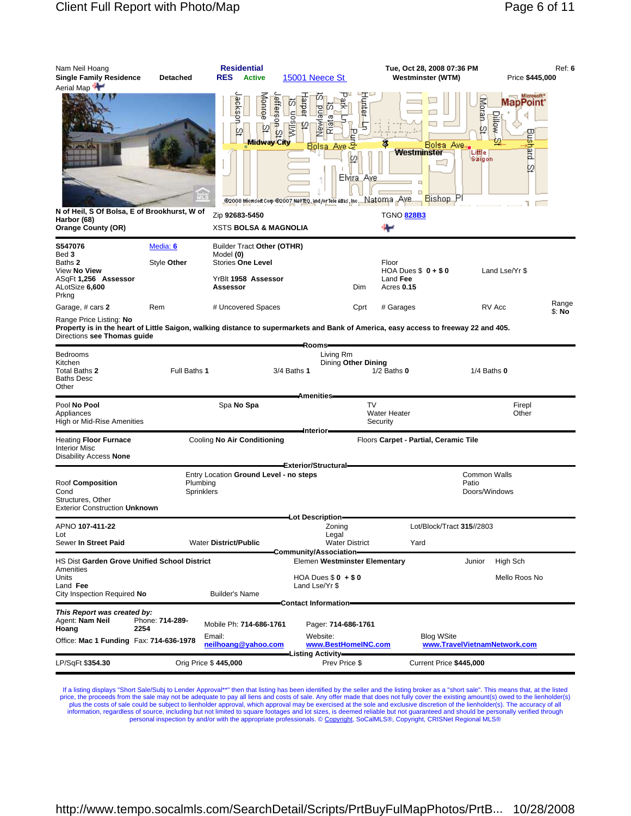| Nam Neil Hoang<br><b>Single Family Residence</b><br>Aerial Map                                                                                                                                | <b>Detached</b>         | <b>Residential</b><br><b>RES</b><br>Active                                                             | 15001 Neece St                                                                                                                                                                                          | Tue, Oct 28, 2008 07:36 PM<br><b>Westminster (WTM)</b> | Price \$445,000                                                                                                                       | Ref: 6          |
|-----------------------------------------------------------------------------------------------------------------------------------------------------------------------------------------------|-------------------------|--------------------------------------------------------------------------------------------------------|---------------------------------------------------------------------------------------------------------------------------------------------------------------------------------------------------------|--------------------------------------------------------|---------------------------------------------------------------------------------------------------------------------------------------|-----------------|
|                                                                                                                                                                                               |                         | eptroe<br>ackson<br>efferson<br>낅<br>b)<br>w<br>Midway City                                            | للتالي<br>retter<br>regie<br>D)<br>m<br><b>lain</b><br>Wilson<br>σ<br><b>Dewl</b><br>5<br>ଢ<br>Bolsa<br>12<br>Elvira Ave<br>S2008 Microsoft Corp S2007 NAVIEQ, and for Tele Allas , Inc. Nat Orma , AVB | Bolsa Ave.<br>Westminster<br>Bishop Pl                 | Microsoft <sup>*</sup><br>Moran <sub>2</sub><br>MapPoint <sup>.</sup><br><b>Aventic</b><br>g<br>hard<br>Liffle<br>Saigon<br>ø<br>T ET |                 |
| N of Heil, S Of Bolsa, E of Brookhurst, W of<br>Harbor (68)                                                                                                                                   |                         | Zip 92683-5450                                                                                         |                                                                                                                                                                                                         | <b>TGNO 828B3</b>                                      |                                                                                                                                       |                 |
| <b>Orange County (OR)</b>                                                                                                                                                                     |                         | <b>XSTS BOLSA &amp; MAGNOLIA</b>                                                                       |                                                                                                                                                                                                         |                                                        |                                                                                                                                       |                 |
| S547076<br>Bed 3<br>Baths 2<br>View No View<br>ASGFt 1.256 Assessor<br>ALotSize 6,600<br>Prkng                                                                                                | Media: 6<br>Style Other | Builder Tract Other (OTHR)<br>Model (0)<br><b>Stories One Level</b><br>YrBlt 1958 Assessor<br>Assessor | Dim                                                                                                                                                                                                     | Floor<br>HOA Dues $$0 + $0$<br>Land Fee<br>Acres 0.15  | Land Lse/Yr \$                                                                                                                        |                 |
| Garage, # cars 2                                                                                                                                                                              | Rem                     | # Uncovered Spaces                                                                                     | Cprt                                                                                                                                                                                                    | # Garages                                              | RV Acc                                                                                                                                | Range<br>\$: No |
| Range Price Listing: No<br>Property is in the heart of Little Saigon, walking distance to supermarkets and Bank of America, easy access to freeway 22 and 405.<br>Directions see Thomas guide |                         |                                                                                                        |                                                                                                                                                                                                         |                                                        |                                                                                                                                       |                 |
| Bedrooms<br>Kitchen<br>Total Baths 2<br><b>Baths Desc</b><br>Other                                                                                                                            | Full Baths 1            |                                                                                                        | Rooms=<br>Living Rm<br>Dining Other Dining<br>3/4 Baths 1                                                                                                                                               | $1/2$ Baths $0$                                        | $1/4$ Baths $0$                                                                                                                       |                 |
| Pool No Pool<br>Appliances<br>High or Mid-Rise Amenities                                                                                                                                      |                         | Spa No Spa                                                                                             | Amenities-                                                                                                                                                                                              | <b>TV</b><br><b>Water Heater</b><br>Security           | Firepl<br>Other                                                                                                                       |                 |
| Heating Floor Furnace<br>Interior Misc<br>Disability Access None                                                                                                                              |                         | Cooling No Air Conditioning                                                                            | -Interior-                                                                                                                                                                                              | Floors Carpet - Partial, Ceramic Tile                  |                                                                                                                                       |                 |
|                                                                                                                                                                                               |                         | Entry Location Ground Level - no steps                                                                 | Exterior/Structural=                                                                                                                                                                                    |                                                        | <b>Common Walls</b>                                                                                                                   |                 |
| Roof Composition<br>Cond<br>Structures, Other<br><b>Exterior Construction Unknown</b>                                                                                                         | Plumbing<br>Sprinklers  |                                                                                                        |                                                                                                                                                                                                         |                                                        | Patio<br>Doors/Windows                                                                                                                |                 |
| APNO 107-411-22                                                                                                                                                                               |                         |                                                                                                        | Lot Description<br>Zoning                                                                                                                                                                               | Lot/Block/Tract 315//2803                              |                                                                                                                                       |                 |
| Lot<br>Sewer In Street Paid                                                                                                                                                                   |                         | <b>Water District/Public</b>                                                                           | Legal<br><b>Water District</b><br>Community/Association=                                                                                                                                                | Yard                                                   |                                                                                                                                       |                 |
| HS Dist Garden Grove Unified School District                                                                                                                                                  |                         |                                                                                                        | Elemen Westminster Elementary                                                                                                                                                                           |                                                        | High Sch<br>Junior                                                                                                                    |                 |
| Amenities<br>Units<br>Land Fee<br>City Inspection Required No                                                                                                                                 |                         | <b>Builder's Name</b>                                                                                  | HOA Dues $$0 + $0$<br>Land Lse/Yr \$                                                                                                                                                                    |                                                        | Mello Roos No                                                                                                                         |                 |
| This Report was created by:<br>Agent: Nam Neil<br>2254<br>Hoang<br>Office: Mac 1 Funding Fax: 714-636-1978                                                                                    | Phone: 714-289-         | Mobile Ph: 714-686-1761<br>Email:<br>neilhoang@yahoo.com                                               | Contact Information=<br>Pager: 714-686-1761<br>Website:<br>www.BestHomeINC.com                                                                                                                          | <b>Blog WSite</b>                                      | www.TravelVietnamNetwork.com                                                                                                          |                 |
| LP/SqFt \$354.30                                                                                                                                                                              |                         | Orig Price \$445,000                                                                                   | -Listing Activity—<br>Prev Price \$                                                                                                                                                                     | Current Price \$445,000                                |                                                                                                                                       |                 |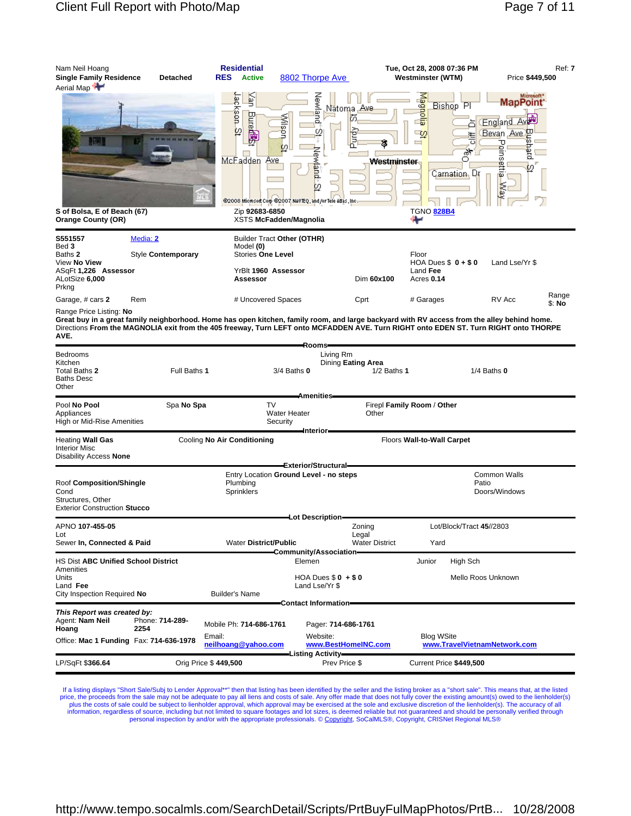| Nam Neil Hoang<br><b>Single Family Residence</b><br>Aerial Map                                            | Detached                  | <b>Residential</b><br><b>RES</b><br><b>Active</b>                                                                                                                                                                                                                                   | 8802 Thorpe Ave                                                              |                                              | Tue, Oct 28, 2008 07:36 PM<br><b>Westminster (WTM)</b>                                          | Price \$449,500                                                                                                                               | Ref: 7          |
|-----------------------------------------------------------------------------------------------------------|---------------------------|-------------------------------------------------------------------------------------------------------------------------------------------------------------------------------------------------------------------------------------------------------------------------------------|------------------------------------------------------------------------------|----------------------------------------------|-------------------------------------------------------------------------------------------------|-----------------------------------------------------------------------------------------------------------------------------------------------|-----------------|
| S of Bolsa, E of Beach (67)<br><b>Orange County (OR)</b>                                                  |                           | Уan<br>ackson-<br><b>Elure</b><br>Wison<br>ø<br>廟<br>Ø<br>McFadden<br>Ave<br>@2008 Microsoft Corp @2007 NAVTEQ, and /or Tele Adas, Inc.<br>Zip 92683-6850<br>XSTS McFadden/Magnolia                                                                                                 | Neivian<br>Nätomaa<br>ā<br>o<br>Newland<br>со                                | _Ave<br>历<br>Purg<br>P<br><b>Westminster</b> | Magnol<br>Bishop Pl<br>-5<br>◠<br>ార<br>挂<br>ں<br>री<br>O<br>Carnation, Dr<br><b>TGNO 828B4</b> | Microsoft <sup>*</sup><br><b>MapPoint</b><br>England Aver<br>₽<br>Bevan Ave<br>Ø.<br>᠊ᠣ<br><b>Dins</b><br>patch<br>ettla<br>ω<br><b>Right</b> |                 |
| S551557<br>Bed 3                                                                                          | Media: 2                  | Builder Tract Other (OTHR)<br>Model (0)                                                                                                                                                                                                                                             |                                                                              |                                              |                                                                                                 |                                                                                                                                               |                 |
| Baths 2<br>View No View<br>ASqFt 1,226 Assessor<br>ALotSize 6,000<br>Prkng                                | Style <b>Contemporary</b> | Stories One Level<br>YrBlt 1960 Assessor<br>Assessor                                                                                                                                                                                                                                |                                                                              | Dim 60x100                                   | Floor<br>HOA Dues $$0 + $0$<br>Land Fee<br>Acres 0.14                                           | Land Lse/Yr \$                                                                                                                                |                 |
| Garage, # cars 2                                                                                          | Rem                       | # Uncovered Spaces                                                                                                                                                                                                                                                                  |                                                                              | Cprt                                         | # Garages                                                                                       | RV Acc                                                                                                                                        | Range<br>\$: No |
| Range Price Listing: <b>No</b><br>AVE.                                                                    |                           | Great buy in a great family neighborhood. Home has open kitchen, family room, and large backyard with RV access from the alley behind home.<br>Directions From the MAGNOLIA exit from the 405 freeway, Turn LEFT onto MCFADDEN AVE. Turn RIGHT onto EDEN ST. Turn RIGHT onto THORPE |                                                                              |                                              |                                                                                                 |                                                                                                                                               |                 |
| Bedrooms<br>Kitchen<br>Total Baths 2<br>Baths Desc<br>Other                                               | Full Baths 1              |                                                                                                                                                                                                                                                                                     | Rooms-<br>Living Rm<br>$3/4$ Baths $0$<br><b>Amenities</b>                   | Dining Eating Area<br>$1/2$ Baths 1          |                                                                                                 | $1/4$ Baths $0$                                                                                                                               |                 |
| Pool No Pool<br>Appliances<br>High or Mid-Rise Amenities                                                  | Spa No Spa                | <b>TV</b><br>Security                                                                                                                                                                                                                                                               | <b>Water Heater</b>                                                          | Other                                        | Firepl Family Room / Other                                                                      |                                                                                                                                               |                 |
| Heating Wall Gas<br><b>Interior Misc</b><br>Disability Access None                                        |                           | Cooling No Air Conditioning                                                                                                                                                                                                                                                         | Interior-                                                                    |                                              | Floors Wall-to-Wall Carpet                                                                      |                                                                                                                                               |                 |
| Roof Composition/Shingle<br>Cond<br>Structures, Other<br><b>Exterior Construction Stucco</b>              |                           | Entry Location Ground Level - no steps<br>Plumbing<br><b>Sprinklers</b>                                                                                                                                                                                                             | Exterior/Structural=                                                         |                                              | Patio                                                                                           | Common Walls<br>Doors/Windows                                                                                                                 |                 |
| APNO 107-455-05<br>Lot<br>Sewer In, Connected & Paid                                                      |                           | <b>Water District/Public</b>                                                                                                                                                                                                                                                        | —Lot Description=                                                            | Zoning<br>Legal<br><b>Water District</b>     | Lot/Block/Tract 45//2803<br>Yard                                                                |                                                                                                                                               |                 |
| <b>HS Dist ABC Unified School District</b>                                                                |                           |                                                                                                                                                                                                                                                                                     | Community/Association=<br>Elemen                                             |                                              | Junior<br>High Sch                                                                              |                                                                                                                                               |                 |
| Amenities<br>Units<br>Land Fee<br>City Inspection Required No                                             |                           | <b>Builder's Name</b>                                                                                                                                                                                                                                                               | HOA Dues $$0 + $0$<br>Land Lse/Yr \$<br>Contact Information-                 |                                              |                                                                                                 | Mello Roos Unknown                                                                                                                            |                 |
| This Report was created by:<br>Agent: <b>Nam Neil</b><br>Hoang<br>Office: Mac 1 Funding Fax: 714-636-1978 | Phone: 714-289-<br>2254   | Mobile Ph: 714-686-1761<br>Email:<br>neilhoang@yahoo.com                                                                                                                                                                                                                            | Pager: 714-686-1761<br>Website:<br>www.BestHomeINC.com<br>-Listing Activity- |                                              | <b>Blog WSite</b><br>www.TravelVietnamNetwork.com                                               |                                                                                                                                               |                 |
| LP/SqFt \$366.64                                                                                          | Orig Price \$449,500      |                                                                                                                                                                                                                                                                                     | Prev Price \$                                                                |                                              | Current Price \$449,500                                                                         |                                                                                                                                               |                 |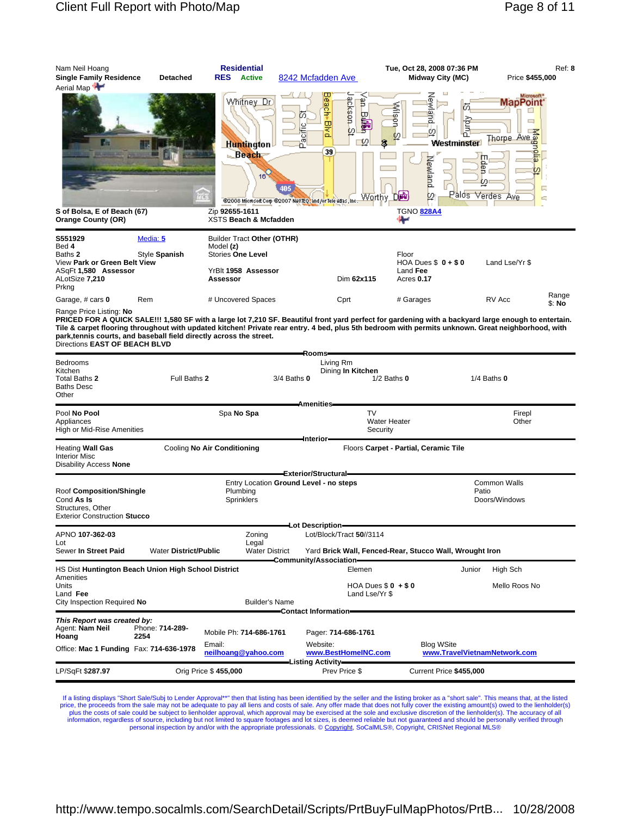| Nam Neil Hoang                                    |                 | <b>Residential</b>                                        |                                                                                                                                                      | Tue, Oct 28, 2008 07:36 PM                                        | Ref: 8                                                             |
|---------------------------------------------------|-----------------|-----------------------------------------------------------|------------------------------------------------------------------------------------------------------------------------------------------------------|-------------------------------------------------------------------|--------------------------------------------------------------------|
| <b>Single Family Residence</b><br>Aerial Map      | <b>Detached</b> | <b>RES</b><br><b>Active</b>                               | 8242 Mcfadden Ave                                                                                                                                    | Midway City (MC)                                                  | Price \$455,000                                                    |
|                                                   |                 | VVhitney Dr<br><b>Huntington</b><br><b>Beach</b>          | ackson<br><b>éach</b><br>₿<br>胃<br>ťο.<br><b>BNB</b><br>ă<br>Ø.<br>£°<br>₽<br>39                                                                     | ley⊌<br>Mispn<br>ல<br>Ē<br>o<br>Ø<br>R.<br>Westminster<br>Newland | dicrosoft*<br>MapPoint <sup>*</sup><br>ᆷ<br>Thorpe Ave a<br>Ε<br>屑 |
| S of Bolsa, E of Beach (67)<br>Orange County (OR) |                 | 167<br>Zip 92655-1611<br><b>XSTS Beach &amp; Mcfadden</b> | 405<br>Worthy.<br>@2008 Microsoft Corp @2007 NAVIEQ, and /or Tele Adas, Inc.                                                                         | 刊南<br>12<br><b>TGNO 828A4</b>                                     | Ω<br>Palos Verdes Ave<br>E                                         |
| S551929<br>Bed 4                                  | Media: 5        | <b>Builder Tract Other (OTHR)</b><br>Model (z)            |                                                                                                                                                      |                                                                   |                                                                    |
| Baths 2<br>View Park or Green Belt View           | Style Spanish   | <b>Stories One Level</b>                                  |                                                                                                                                                      | Floor<br>HOA Dues $$0 + $0$                                       | Land Lse/Yr \$                                                     |
| ASqFt 1,580 Assessor<br>ALotSize 7,210<br>Prkng   |                 | YrBlt 1958 Assessor<br>Assessor                           | Dim 62x115                                                                                                                                           | Land Fee<br>Acres 0.17                                            |                                                                    |
| Garage, # cars 0                                  | Rem             | # Uncovered Spaces                                        | Cprt                                                                                                                                                 | # Garages                                                         | Range<br>RV Acc<br>\$: No                                          |
| Range Price Listing: No                           |                 |                                                           | PRICED FOR A QUICK SALE!!! 1,580 SF with a large lot 7,210 SF. Beautiful front yard perfect for gardening with a backyard large enough to entertain. |                                                                   |                                                                    |

PRICED FOR A QUICK SALE!!! 1,580 SF with a large lot 7,210 SF. Beautiful front yard perfect for gardening with a backyard large enough to entertain.<br>Tile & carpet flooring throughout with updated kitchen! Private rear entr

|                                                                                                    |                              |                             |                                                                         | -Rooms                            |                                                                                     |                                                   |                               |
|----------------------------------------------------------------------------------------------------|------------------------------|-----------------------------|-------------------------------------------------------------------------|-----------------------------------|-------------------------------------------------------------------------------------|---------------------------------------------------|-------------------------------|
| Bedrooms<br>Kitchen<br>Total Baths 2<br><b>Baths Desc</b><br>Other                                 | Full Baths 2                 |                             |                                                                         | Living Rm<br>$3/4$ Baths $0$      | Dining In Kitchen<br>$1/2$ Baths $0$                                                |                                                   | $1/4$ Baths $0$               |
|                                                                                                    |                              |                             |                                                                         | <b>Amenities</b>                  |                                                                                     |                                                   |                               |
| Pool No Pool<br>Appliances<br>High or Mid-Rise Amenities                                           |                              |                             | Spa No Spa                                                              |                                   | <b>TV</b><br><b>Water Heater</b><br>Security                                        |                                                   | Firepl<br>Other               |
| <b>Heating Wall Gas</b><br><b>Interior Misc</b><br>Disability Access None                          |                              | Cooling No Air Conditioning |                                                                         | Interior-<br>Exterior/Structural- | Floors Carpet - Partial, Ceramic Tile                                               |                                                   |                               |
| Roof Composition/Shingle<br>Cond As Is<br>Structures, Other<br><b>Exterior Construction Stucco</b> |                              |                             | Entry Location Ground Level - no steps<br>Plumbing<br><b>Sprinklers</b> |                                   |                                                                                     | Patio                                             | Common Walls<br>Doors/Windows |
|                                                                                                    |                              |                             |                                                                         | -Lot Description-                 |                                                                                     |                                                   |                               |
| APNO 107-362-03<br>Lot<br>Sewer In Street Paid                                                     | <b>Water District/Public</b> |                             | Zoning<br>Legal<br><b>Water District</b>                                |                                   | Lot/Block/Tract 50//3114<br>Yard Brick Wall, Fenced-Rear, Stucco Wall, Wrought Iron |                                                   |                               |
| HS Dist Huntington Beach Union High School District                                                |                              |                             |                                                                         | Community/Association-            | Elemen                                                                              | Junior                                            | High Sch                      |
| Amenities<br>Units<br>Land Fee<br>City Inspection Required No                                      |                              |                             | <b>Builder's Name</b>                                                   |                                   | HOA Dues $$0 + $0$<br>Land Lse/Yr \$                                                |                                                   | Mello Roos No                 |
|                                                                                                    |                              |                             |                                                                         | -Contact Information-             |                                                                                     |                                                   |                               |
| This Report was created by:<br>Agent: Nam Neil<br>Hoang                                            | Phone: 714-289-<br>2254      |                             | Mobile Ph: 714-686-1761                                                 | Website:                          | Pager: 714-686-1761                                                                 |                                                   |                               |
| Office: Mac 1 Funding Fax: 714-636-1978                                                            |                              | Email:                      | neilhoang@yahoo.com                                                     | <b>Listing Activity</b>           | www.BestHomeINC.com                                                                 | <b>Blog WSite</b><br>www.TravelVietnamNetwork.com |                               |
| LP/SqFt \$287.97                                                                                   |                              | Orig Price \$455,000        |                                                                         |                                   | Prev Price \$                                                                       | Current Price \$455,000                           |                               |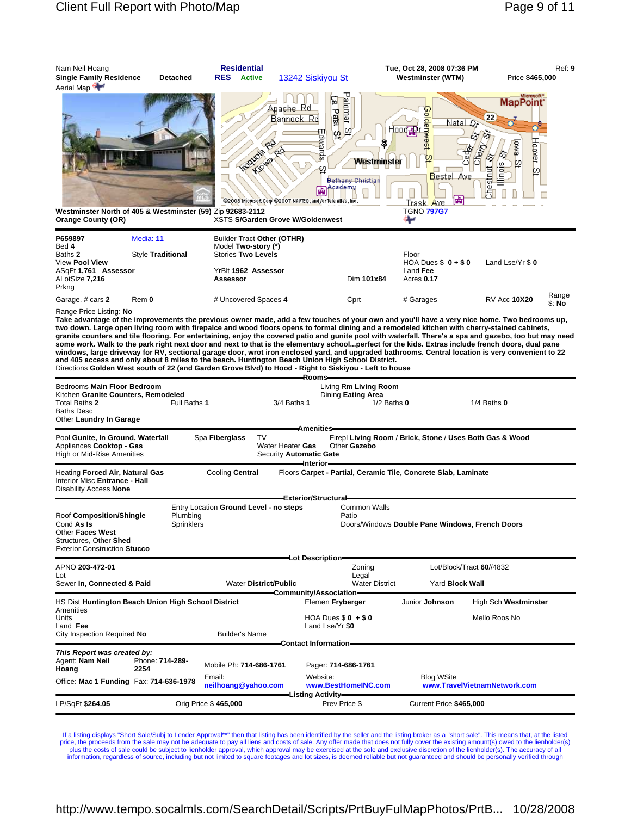

Range Price Listing: **No**

**Take advantage of the improvements the previous owner made, add a few touches of your own and you'll have a very nice home. Two bedrooms up, two down. Large open living room with firepalce and wood floors opens to formal dining and a remodeled kitchen with cherry-stained cabinets,**  granite counters and tile flooring. For entertaining, enjoy the covered patio and gunite pool with waterfall. There's a spa and gazebo, too but may need<br>some work. Walk to the park right next door and next to that is the e **windows, large driveway for RV, sectional garage door, wrot iron enclosed yard, and upgraded bathrooms. Central location is very convenient to 22 and 405 access and only about 8 miles to the beach. Huntington Beach Union High School District.** Directions **Golden West south of 22 (and Garden Grove Blvd) to Hood - Right to Siskiyou - Left to house**

|                                                                                                                                                          |              |                         |                                                          | Rooms-                                                                   |                 |                                                                |                                                          |  |
|----------------------------------------------------------------------------------------------------------------------------------------------------------|--------------|-------------------------|----------------------------------------------------------|--------------------------------------------------------------------------|-----------------|----------------------------------------------------------------|----------------------------------------------------------|--|
| Bedrooms Main Floor Bedroom<br>Kitchen Granite Counters, Remodeled                                                                                       |              | Dining Eating Area      | Living Rm Living Room                                    |                                                                          |                 |                                                                |                                                          |  |
| Total Baths 2<br><b>Baths Desc</b><br>Other Laundry In Garage                                                                                            | Full Baths 1 |                         | 3/4 Baths 1                                              |                                                                          | $1/2$ Baths $0$ |                                                                | $1/4$ Baths $0$                                          |  |
|                                                                                                                                                          |              |                         |                                                          | -Amenities –                                                             |                 |                                                                |                                                          |  |
| Pool Gunite, In Ground, Waterfall<br>Appliances Cooktop - Gas<br>High or Mid-Rise Amenities                                                              |              | Spa Fiberglass          | <b>TV</b><br>Water Heater Gas<br>Security Automatic Gate | Other Gazebo<br>-Interior                                                |                 |                                                                | Firepl Living Room / Brick, Stone / Uses Both Gas & Wood |  |
| Heating Forced Air, Natural Gas<br>Interior Misc Entrance - Hall<br>Disability Access None                                                               |              | Cooling Central         |                                                          |                                                                          |                 | Floors Carpet - Partial, Ceramic Tile, Concrete Slab, Laminate |                                                          |  |
|                                                                                                                                                          |              |                         |                                                          | Exterior/Structural-                                                     |                 |                                                                |                                                          |  |
| Entry Location Ground Level - no steps<br>Plumbing<br>Roof Composition/Shingle<br>Cond As Is<br>Sprinklers<br>Other Faces West<br>Structures, Other Shed |              |                         |                                                          | Common Walls<br>Patio<br>Doors/Windows Double Pane Windows, French Doors |                 |                                                                |                                                          |  |
| <b>Exterior Construction Stucco</b>                                                                                                                      |              |                         |                                                          |                                                                          |                 |                                                                |                                                          |  |
|                                                                                                                                                          |              |                         |                                                          | —Lot Description—                                                        |                 |                                                                |                                                          |  |
| APNO 203-472-01                                                                                                                                          |              |                         |                                                          |                                                                          | Zoning          |                                                                | Lot/Block/Tract 60//4832                                 |  |
| Lot<br>Sewer In, Connected & Paid<br><b>Water District/Public</b>                                                                                        |              |                         |                                                          | Legal<br><b>Water District</b>                                           |                 | Yard Block Wall                                                |                                                          |  |
|                                                                                                                                                          |              |                         |                                                          | Community/Association                                                    |                 |                                                                |                                                          |  |
| HS Dist Huntington Beach Union High School District<br>Amenities                                                                                         |              |                         |                                                          | Elemen Fryberger                                                         |                 | Junior Johnson                                                 | High Sch Westminster                                     |  |
| Units<br>Land Fee                                                                                                                                        |              |                         |                                                          | HOA Dues $$0 + $0$<br>Land Lse/Yr \$0                                    |                 |                                                                | Mello Roos No                                            |  |
| City Inspection Required No                                                                                                                              |              | <b>Builder's Name</b>   |                                                          |                                                                          |                 |                                                                |                                                          |  |
|                                                                                                                                                          |              |                         |                                                          | Contact Information-                                                     |                 |                                                                |                                                          |  |
| This Report was created by:<br>Agent: Nam Neil<br>Phone: 714-289-<br>2254<br>Hoang                                                                       |              | Mobile Ph: 714-686-1761 |                                                          | Pager: 714-686-1761                                                      |                 |                                                                |                                                          |  |
|                                                                                                                                                          |              | Email:                  |                                                          | Website:                                                                 |                 | <b>Blog WSite</b>                                              |                                                          |  |
| Office: Mac 1 Funding Fax: 714-636-1978                                                                                                                  |              | neilhoang@vahoo.com     |                                                          | www.BestHomeINC.com                                                      |                 | www.TravelVietnamNetwork.com                                   |                                                          |  |
| Orig Price \$465,000<br>LP/SqFt \$264.05                                                                                                                 |              |                         |                                                          | Prev Price \$                                                            |                 | Current Price \$465,000                                        |                                                          |  |

If a listing displays "Short Sale/Subj to Lender Approval\*\*" then that listing has been identified by the seller and the listing broker as a "short sale". This means that, at the listed price, the proceeds from the sale may not be adequate to pay all liens and costs of sale. Any offer made that does not fully cover the existing amount(s) owed to the lienholder(s)<br>plus the costs of sale could be subject to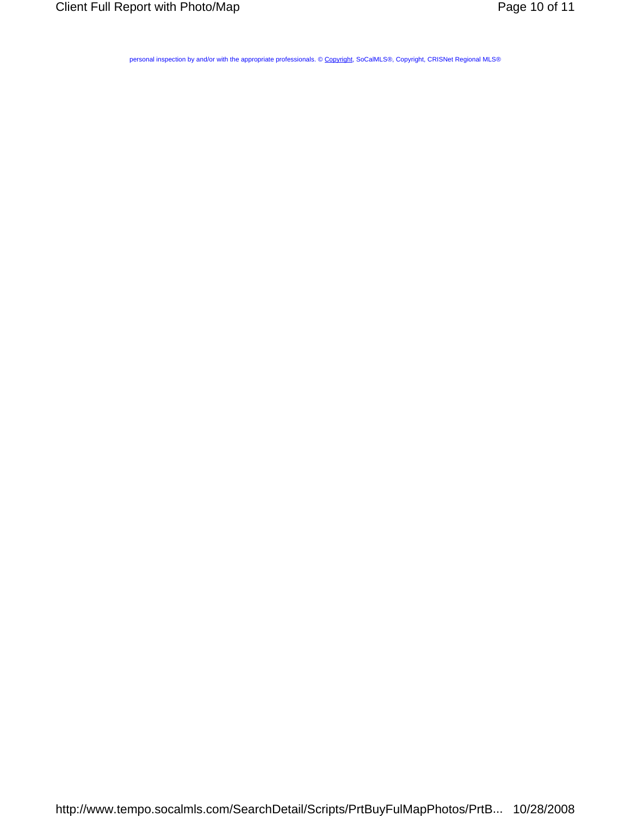personal inspection by and/or with the appropriate professionals. © Copyright, SoCalMLS®, Copyright, CRISNet Regional MLS®